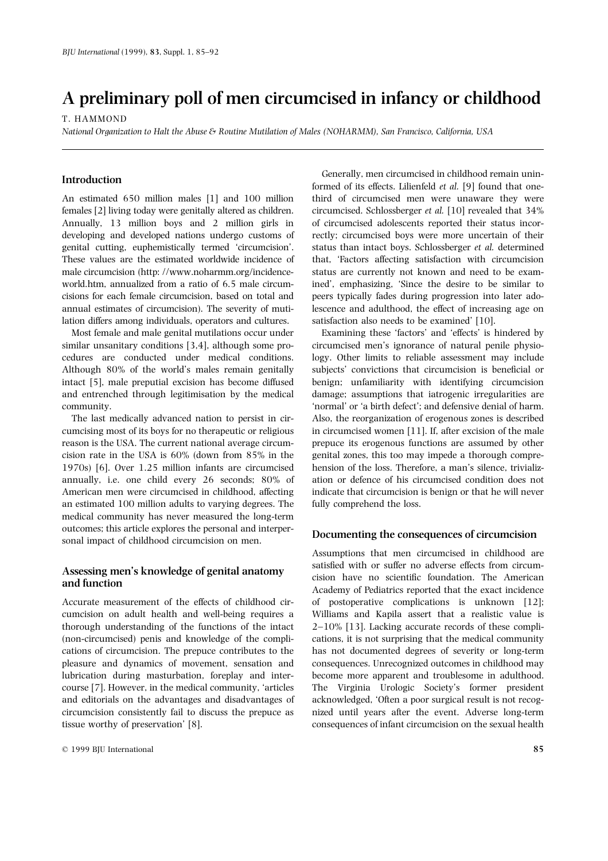# A preliminary poll of men circumcised in infancy or childhood

## T. HAMMOND

National Organization to Halt the Abuse & Routine Mutilation of Males (NOHARMM), San Francisco, California, USA

females [2] living today were genitally altered as children. circumcised. Schlossberger et al. [10] revealed that 34% Annually, 13 million boys and 2 million girls in of circumcised adolescents reported their status incordeveloping and developed nations undergo customs of rectly; circumcised boys were more uncertain of their genital cutting, euphemistically termed 'circumcision'. status than intact boys. Schlossberger et al. determined These values are the estimated worldwide incidence of that, 'Factors affecting satisfaction with circumcision male circumcision (http://www.noharmm.org/incidence-status are currently not known and need to be examworld.htm, annualized from a ratio of 6.5 male circum- ined', emphasizing, 'Since the desire to be similar to cisions for each female circumcision, based on total and peers typically fades during progression into later adoannual estimates of circumcision). The severity of muti-<br>lescence and adulthood, the effect of increasing age on lation differs among individuals, operators and cultures. satisfaction also needs to be examined' [10].

Most female and male genital mutilations occur under Examining these 'factors' and 'effects' is hindered by

reason is the USA. The current national average circum- prepuce its erogenous functions are assumed by other cision rate in the USA is 60% (down from 85% in the genital zones, this too may impede a thorough compreannually, i.e. one child every 26 seconds; 80% of ation or defence of his circumcised condition does not American men were circumcised in childhood, affecting indicate that circumcision is benign or that he will never an estimated 100 million adults to varying degrees. The fully comprehend the loss. medical community has never measured the long-term outcomes; this article explores the personal and interper- Documenting the consequences of circumcision sonal impact of childhood circumcision on men.

cumcision on adult health and well-being requires a Williams and Kapila assert that a realistic value is thorough understanding of the functions of the intact  $2-10\%$  [13]. Lacking accurate records of these compli-(non-circumcised) penis and knowledge of the compli- cations, it is not surprising that the medical community cations of circumcision. The prepuce contributes to the has not documented degrees of severity or long-term pleasure and dynamics of movement, sensation and consequences. Unrecognized outcomes in childhood may lubrication during masturbation, foreplay and inter- become more apparent and troublesome in adulthood. course [7]. However, in the medical community, 'articles The Virginia Urologic Society's former president and editorials on the advantages and disadvantages of acknowledged, 'Often a poor surgical result is not recogcircumcision consistently fail to discuss the prepuce as nized until years after the event. Adverse long-term tissue worthy of preservation' [8]. consequences of infant circumcision on the sexual health

Generally, men circumcised in childhood remain unin-<br> **Introduction** formed of its effects. Lilienfeld *et al.* [9] found that one-An estimated 650 million males [1] and 100 million third of circumcised men were unaware they were

similar unsanitary conditions [3,4], although some pro- circumcised men's ignorance of natural penile physiocedures are conducted under medical conditions. logy. Other limits to reliable assessment may include Although 80% of the world's males remain genitally subjects' convictions that circumcision is beneficial or intact [5], male preputial excision has become diffused benign; unfamiliarity with identifying circumcision and entrenched through legitimisation by the medical damage; assumptions that iatrogenic irregularities are community. 'normal' or 'a birth defect'; and defensive denial of harm. The last medically advanced nation to persist in cir- Also, the reorganization of erogenous zones is described cumcising most of its boys for no therapeutic or religious in circumcised women [11]. If, after excision of the male 1970s) [6]. Over 1.25 million infants are circumcised hension of the loss. Therefore, a man's silence, trivializ-

Assumptions that men circumcised in childhood are Assessing men's knowledge of genital anatomy<br>and function circum-<br>cision have no scientific foundation. The American<br>Academy of Pediatrics reported that the exact incidence Accurate measurement of the effects of childhood cir- of postoperative complications is unknown [12];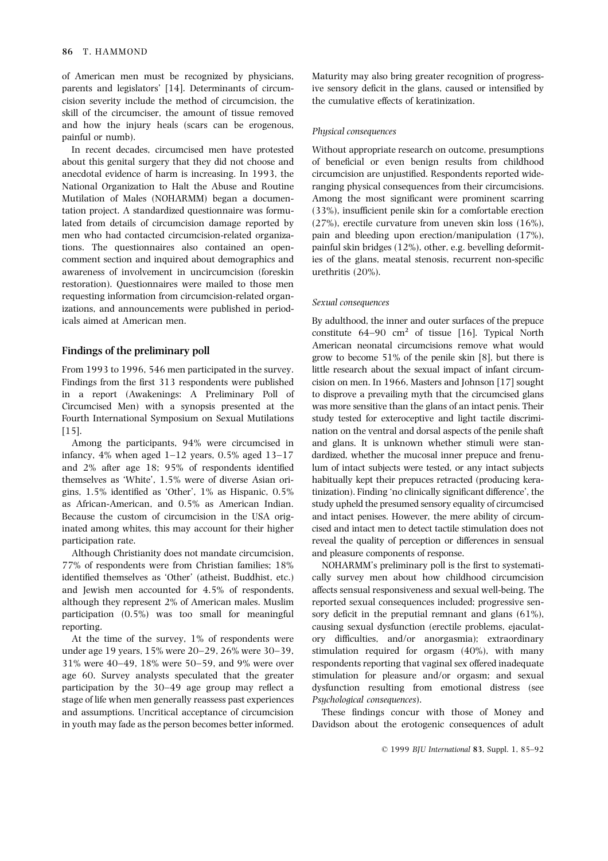of American men must be recognized by physicians, Maturity may also bring greater recognition of progressparents and legislators' [14]. Determinants of circum- ive sensory deficit in the glans, caused or intensified by cision severity include the method of circumcision, the the cumulative effects of keratinization. skill of the circumciser, the amount of tissue removed and how the injury heals (scars can be erogenous, Physical consequences painful or numb).

In recent decades, circumcised men have protested Without appropriate research on outcome, presumptions about this genital surgery that they did not choose and of beneficial or even benign results from childhood anecdotal evidence of harm is increasing. In 1993, the circumcision are unjustified. Respondents reported wide-National Organization to Halt the Abuse and Routine ranging physical consequences from their circumcisions. Mutilation of Males (NOHARMM) began a documen- Among the most significant were prominent scarring tation project. A standardized questionnaire was formu- $(33\%)$ , insufficient penile skin for a comfortable erection lated from details of circumcision damage reported by (27%), erectile curvature from uneven skin loss (16%), men who had contacted circumcision-related organiza- pain and bleeding upon erection/manipulation (17%), tions. The questionnaires also contained an open- painful skin bridges (12%), other, e.g. bevelling deformitcomment section and inquired about demographics and ies of the glans, meatal stenosis, recurrent non-specific awareness of involvement in uncircumcision (foreskin urethritis (20%). restoration). Questionnaires were mailed to those men requesting information from circumcision-related organ-<br>izations, and announcements were published in period-<br> $Sexual$  consequences icals aimed at American men. By adulthood, the inner and outer surfaces of the prepuce

Findings from the first 313 respondents were published cision on men. In 1966, Masters and Johnson [17] sought in a report (Awakenings: A Preliminary Poll of to disprove a prevailing myth that the circumcised glans Circumcised Men) with a synopsis presented at the was more sensitive than the glans of an intact penis. Their Fourth International Symposium on Sexual Mutilations study tested for exteroceptive and light tactile discrimi- [15]. nation on the ventral and dorsal aspects of the penile shaft

infancy, 4% when aged 1–12 years, 0.5% aged 13–17 dardized, whether the mucosal inner prepuce and frenuand 2% after age 18; 95% of respondents identified lum of intact subjects were tested, or any intact subjects themselves as 'White', 1.5% were of diverse Asian ori- habitually kept their prepuces retracted (producing keragins,  $1.5\%$  identified as 'Other',  $1\%$  as Hispanic,  $0.5\%$  tinization). Finding 'no clinically significant difference', the as African-American, and 0.5% as American Indian. study upheld the presumed sensory equality of circumcised Because the custom of circumcision in the USA orig- and intact penises. However, the mere ability of circuminated among whites, this may account for their higher cised and intact men to detect tactile stimulation does not

Although Christianity does not mandate circumcision, and pleasure components of response. 77% of respondents were from Christian families; 18% NOHARMM's preliminary poll is the first to systematiidentified themselves as 'Other' (atheist, Buddhist, etc.) cally survey men about how childhood circumcision and Jewish men accounted for 4.5% of respondents, affects sensual responsiveness and sexual well-being. The although they represent 2% of American males. Muslim reported sexual consequences included; progressive senparticipation (0.5%) was too small for meaningful sory deficit in the preputial remnant and glans (61%), reporting. causing sexual dysfunction (erectile problems, ejaculat-

under age 19 years, 15% were 20–29, 26% were 30–39, stimulation required for orgasm (40%), with many  $31\%$  were  $40-49$ ,  $18\%$  were  $50-59$ , and 9% were over respondents reporting that vaginal sex offered inadequate age 60. Survey analysts speculated that the greater stimulation for pleasure and/or orgasm; and sexual participation by the 30–49 age group may reflect a dysfunction resulting from emotional distress (see stage of life when men generally reassess past experiences Psychological consequences). and assumptions. Uncritical acceptance of circumcision These findings concur with those of Money and

constitute  $64-90$  cm<sup>2</sup> of tissue [16]. Typical North Findings of the preliminary poll **Findings** of the preliminary poll and Findings of the penile skin [8], but there is From 1993 to 1996, 546 men participated in the survey. little research about the sexual impact of infant circum-Among the participants, 94% were circumcised in and glans. It is unknown whether stimuli were stanparticipation rate. The reveal the quality of perception or differences in sensual

At the time of the survey, 1% of respondents were ory difficulties, and/or anorgasmia); extraordinary

in youth may fade as the person becomes better informed. Davidson about the erotogenic consequences of adult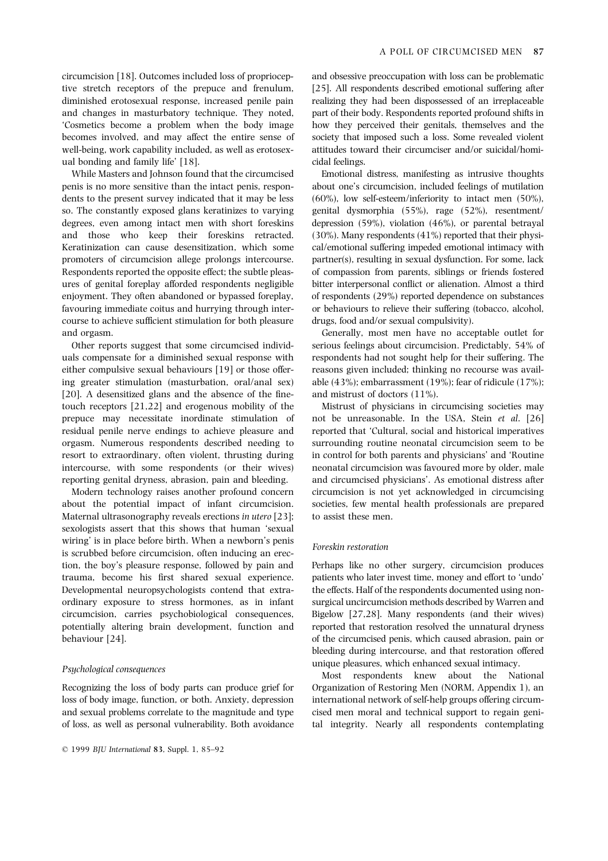well-being, work capability included, as well as erotosex-<br>attitudes toward their circumciser and/or suicidal/homiual bonding and family life' [18]. cidal feelings.

penis is no more sensitive than the intact penis, respon- about one's circumcision, included feelings of mutilation dents to the present survey indicated that it may be less (60%), low self-esteem/inferiority to intact men (50%), so. The constantly exposed glans keratinizes to varying genital dysmorphia (55%), rage (52%), resentment/ degrees, even among intact men with short foreskins depression (59%), violation (46%), or parental betrayal and those who keep their foreskins retracted. (30%). Many respondents (41%) reported that their physi-Keratinization can cause desensitization, which some cal/emotional suffering impeded emotional intimacy with promoters of circumcision allege prolongs intercourse. partner(s), resulting in sexual dysfunction. For some, lack Respondents reported the opposite effect; the subtle pleas- of compassion from parents, siblings or friends fostered ures of genital foreplay afforded respondents negligible bitter interpersonal conflict or alienation. Almost a third enjoyment. They often abandoned or bypassed foreplay, of respondents (29%) reported dependence on substances favouring immediate coitus and hurrying through inter- or behaviours to relieve their suffering (tobacco, alcohol, course to achieve sufficient stimulation for both pleasure drugs, food and/or sexual compulsivity). and orgasm. Generally, most men have no acceptable outlet for

uals compensate for a diminished sexual response with respondents had not sought help for their suffering. The either compulsive sexual behaviours [19] or those offer-<br>reasons given included; thinking no recourse was availing greater stimulation (masturbation, oral/anal sex) able (43%); embarrassment (19%); fear of ridicule (17%); [20]. A desensitized glans and the absence of the fine- and mistrust of doctors (11%). touch receptors [21,22] and erogenous mobility of the Mistrust of physicians in circumcising societies may prepuce may necessitate inordinate stimulation of not be unreasonable. In the USA, Stein et al. [26] residual penile nerve endings to achieve pleasure and reported that 'Cultural, social and historical imperatives orgasm. Numerous respondents described needing to surrounding routine neonatal circumcision seem to be resort to extraordinary, often violent, thrusting during in control for both parents and physicians' and 'Routine intercourse, with some respondents (or their wives) neonatal circumcision was favoured more by older, male

about the potential impact of infant circumcision. societies, few mental health professionals are prepared Maternal ultrasonography reveals erections in *utero*  $[23]$ ; to assist these men. sexologists assert that this shows that human 'sexual wiring' is in place before birth. When a newborn's penis is scrubbed before circumcision, often inducing an erec-<br>Foreskin restoration tion, the boy's pleasure response, followed by pain and Perhaps like no other surgery, circumcision produces trauma, become his first shared sexual experience. patients who later invest time, money and effort to 'undo' Developmental neuropsychologists contend that extra-<br>the effects. Half of the respondents documented using nonordinary exposure to stress hormones, as in infant surgical uncircumcision methods described by Warren and circumcision, carries psychobiological consequences, Bigelow [27,28]. Many respondents (and their wives) potentially altering brain development, function and reported that restoration resolved the unnatural dryness behaviour [24]. **behaviour [24]**.

circumcision [18]. Outcomes included loss of propriocep- and obsessive preoccupation with loss can be problematic tive stretch receptors of the prepuce and frenulum, [25]. All respondents described emotional suffering after diminished erotosexual response, increased penile pain realizing they had been dispossessed of an irreplaceable and changes in masturbatory technique. They noted, part of their body. Respondents reported profound shifts in 'Cosmetics become a problem when the body image how they perceived their genitals, themselves and the becomes involved, and may affect the entire sense of society that imposed such a loss. Some revealed violent

While Masters and Johnson found that the circumcised Emotional distress, manifesting as intrusive thoughts

Other reports suggest that some circumcised individ- serious feelings about circumcision. Predictably, 54% of

reporting genital dryness, abrasion, pain and bleeding. and circumcised physicians'. As emotional distress after Modern technology raises another profound concern circumcision is not yet acknowledged in circumcising

bleeding during intercourse, and that restoration offered

Psychological consequences and the sexual intimacy. Most respondents knew about the National Psychological consequences  $\overline{M}$  Most respondents knew about the National  $\overline{M}$ Recognizing the loss of body parts can produce grief for Organization of Restoring Men (NORM, Appendix 1), an loss of body image, function, or both. Anxiety, depression international network of self-help groups offering circumand sexual problems correlate to the magnitude and type cised men moral and technical support to regain geniof loss, as well as personal vulnerability. Both avoidance tal integrity. Nearly all respondents contemplating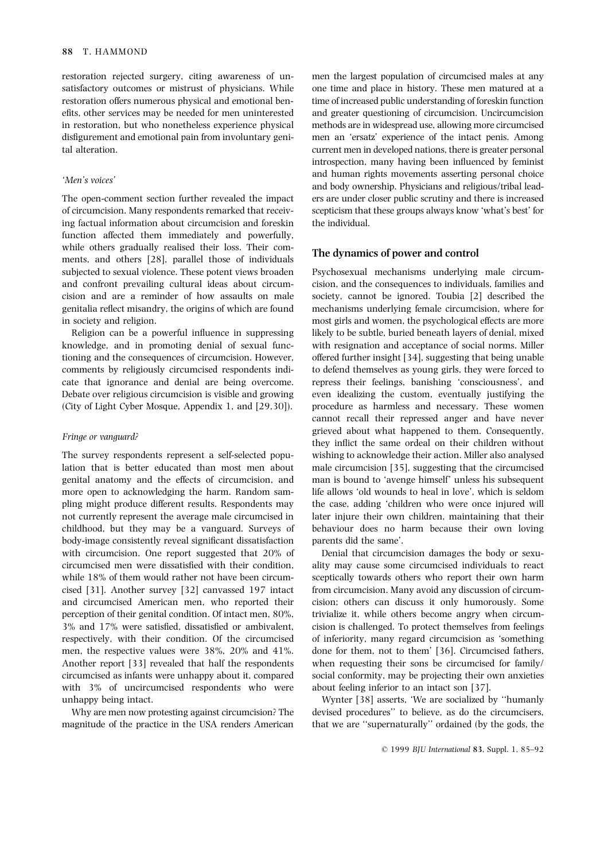restoration rejected surgery, citing awareness of un- men the largest population of circumcised males at any

of circumcision. Many respondents remarked that receiv- scepticism that these groups always know 'what's best' for ing factual information about circumcision and foreskin the individual. function affected them immediately and powerfully, while others gradually realised their loss. Their com-<br>ments, and others [28], parallel those of individuals The dynamics of power and control subjected to sexual violence. These potent views broaden Psychosexual mechanisms underlying male circumand confront prevailing cultural ideas about circum- cision, and the consequences to individuals, families and cision and are a reminder of how assaults on male society, cannot be ignored. Toubia [2] described the genitalia reflect misandry, the origins of which are found mechanisms underlying female circumcision, where for in society and religion. The most girls and women, the psychological effects are more

knowledge, and in promoting denial of sexual func- with resignation and acceptance of social norms. Miller tioning and the consequences of circumcision. However, offered further insight [34], suggesting that being unable comments by religiously circumcised respondents indi- to defend themselves as young girls, they were forced to cate that ignorance and denial are being overcome. repress their feelings, banishing 'consciousness', and Debate over religious circumcision is visible and growing even idealizing the custom, eventually justifying the (City of Light Cyber Mosque, Appendix 1, and [29,30]). procedure as harmless and necessary. These women

lation that is better educated than most men about male circumcision [35], suggesting that the circumcised genital anatomy and the effects of circumcision, and man is bound to 'avenge himself' unless his subsequent more open to acknowledging the harm. Random sam- life allows 'old wounds to heal in love', which is seldom pling might produce different results. Respondents may the case, adding 'children who were once injured will not currently represent the average male circumcised in later injure their own children, maintaining that their childhood, but they may be a vanguard. Surveys of behaviour does no harm because their own loving body-image consistently reveal significant dissatisfaction parents did the same'. with circumcision. One report suggested that 20% of Denial that circumcision damages the body or sexucircumcised men were dissatisfied with their condition, ality may cause some circumcised individuals to react while 18% of them would rather not have been circum-<br>sceptically towards others who report their own harm cised [31]. Another survey [32] canvassed 197 intact from circumcision. Many avoid any discussion of circumand circumcised American men, who reported their cision; others can discuss it only humorously. Some perception of their genital condition. Of intact men, 80%, trivialize it, while others become angry when circum-3% and 17% were satisfied, dissatisfied or ambivalent, cision is challenged. To protect themselves from feelings respectively, with their condition. Of the circumcised of inferiority, many regard circumcision as 'something men, the respective values were 38%, 20% and 41%. done for them, not to them' [36]. Circumcised fathers, Another report [33] revealed that half the respondents when requesting their sons be circumcised for family/ circumcised as infants were unhappy about it, compared social conformity, may be projecting their own anxieties with 3% of uncircumcised respondents who were about feeling inferior to an intact son [37]. unhappy being intact. Wynter [38] asserts, 'We are socialized by ''humanly

magnitude of the practice in the USA renders American that we are ''supernaturally'' ordained (by the gods, the

satisfactory outcomes or mistrust of physicians. While one time and place in history. These men matured at a restoration offers numerous physical and emotional ben-<br>time of increased public understanding of foreskin function efits, other services may be needed for men uninterested and greater questioning of circumcision. Uncircumcision in restoration, but who nonetheless experience physical methods are in widespread use, allowing more circumcised disfigurement and emotional pain from involuntary geni- men an 'ersatz' experience of the intact penis. Among tal alteration. current men in developed nations, there is greater personal introspection, many having been influenced by feminist and human rights movements asserting personal choice 'Men's voices' and body ownership. Physicians and religious/tribal lead-The open-comment section further revealed the impact ers are under closer public scrutiny and there is increased

Religion can be a powerful influence in suppressing likely to be subtle, buried beneath layers of denial, mixed cannot recall their repressed anger and have never Fringe or vanguard?<br>Fringe or vanguard?<br>They inflict the same ordeal on their children without they inflict the same ordeal on their children without The survey respondents represent a self-selected popu- wishing to acknowledge their action. Miller also analysed

Why are men now protesting against circumcision? The devised procedures'' to believe, as do the circumcisers,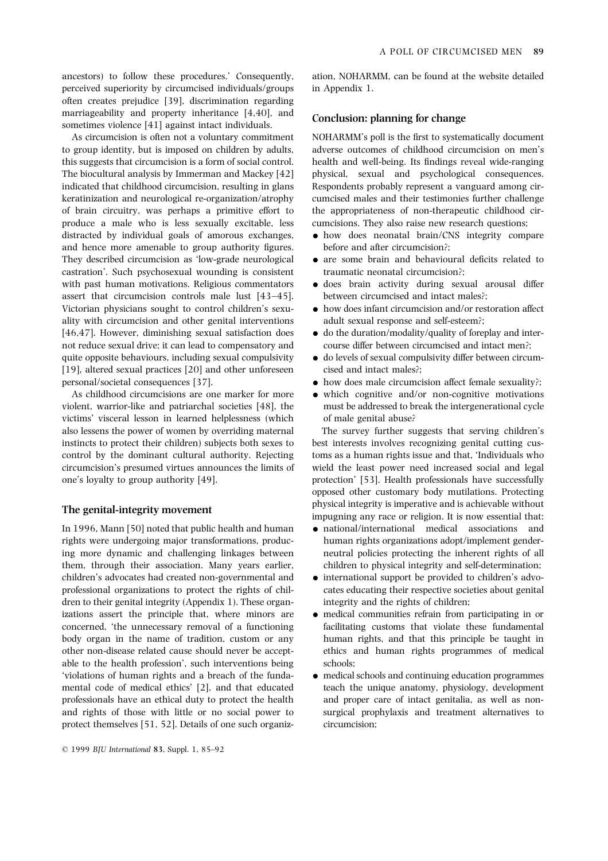perceived superiority by circumcised individuals/groups in Appendix 1. often creates prejudice [39], discrimination regarding marriageability and property inheritance [4,40], and **Conclusion: planning for change** sometimes violence [41] against intact individuals.

to group identity, but is imposed on children by adults, adverse outcomes of childhood circumcision on men's this suggests that circumcision is a form of social control. health and well-being. Its findings reveal wide-ranging The biocultural analysis by Immerman and Mackey [42] physical, sexual and psychological consequences. indicated that childhood circumcision, resulting in glans Respondents probably represent a vanguard among cirkeratinization and neurological re-organization/atrophy cumcised males and their testimonies further challenge of brain circuitry, was perhaps a primitive effort to the appropriateness of non-therapeutic childhood cirproduce a male who is less sexually excitable, less cumcisions. They also raise new research questions; distracted by individual goals of amorous exchanges,  $\bullet$  how does neonatal brain/CNS integrity compare and hence more amenable to group authority figures. before and after circumcision?; They described circumcision as 'low-grade neurological  $\bullet$  are some brain and behavioural deficits related to castration'. Such psychosexual wounding is consistent traumatic neonatal circumcision?; with past human motivations. Religious commentators  $\bullet$  does brain activity during sexual arousal differ assert that circumcision controls male lust [43–45]. between circumcised and intact males?; Victorian physicians sought to control children's sexu- $\bullet$  how does infant circumcision and/or restoration affect ality with circumcision and other genital interventions adult sexual response and self-esteem?; [46,47]. However, diminishing sexual satisfaction does  $\bullet$  do the duration/modality/quality of foreplay and internot reduce sexual drive; it can lead to compensatory and course differ between circumcised and intact men?; quite opposite behaviours, including sexual compulsivity  $\bullet$  do levels of sexual compulsivity differ between circum-[19], altered sexual practices [20] and other unforeseen cised and intact males?;  $\bullet$  how does male circumcision affect female sexuality?:

As childhood circumcisions are one marker for more  $\bullet$  which cognitive and/or non-cognitive motivations violent, warrior-like and patriarchal societies [48], the must be addressed to break the intergenerational cycle victims' visceral lesson in learned helplessness (which of male genital abuse? also lessens the power of women by overriding maternal The survey further suggests that serving children's instincts to protect their children) subjects both sexes to best interests involves recognizing genital cutting cuscontrol by the dominant cultural authority. Rejecting toms as a human rights issue and that, 'Individuals who circumcision's presumed virtues announces the limits of wield the least power need increased social and legal one's loyalty to group authority [49]. protection' [53]. Health professionals have successfully

rights were undergoing major transformations, produc- human rights organizations adopt/implement gendering more dynamic and challenging linkages between neutral policies protecting the inherent rights of all them, through their association. Many years earlier, children to physical integrity and self-determination; children's advocates had created non-governmental and  $\bullet$  international support be provided to children's advoprofessional organizations to protect the rights of chil- cates educating their respective societies about genital dren to their genital integrity (Appendix 1). These organ- integrity and the rights of children; izations assert the principle that, where minors are  $\bullet$  medical communities refrain from participating in or concerned, 'the unnecessary removal of a functioning facilitating customs that violate these fundamental body organ in the name of tradition, custom or any human rights, and that this principle be taught in other non-disease related cause should never be accept- ethics and human rights programmes of medical able to the health profession', such interventions being schools; 'violations of human rights and a breach of the funda- \$ medical schools and continuing education programmes mental code of medical ethics' [2], and that educated teach the unique anatomy, physiology, development professionals have an ethical duty to protect the health and proper care of intact genitalia, as well as nonand rights of those with little or no social power to surgical prophylaxis and treatment alternatives to protect themselves [51, 52]. Details of one such organiz- circumcision;

ancestors) to follow these procedures.' Consequently, ation, NOHARMM, can be found at the website detailed

As circumcision is often not a voluntary commitment NOHARMM's poll is the first to systematically document

- 
- 
- 
- 
- 
- 
- 
- 

opposed other customary body mutilations. Protecting The genital-integrity movement physical integrity is imperative and is achievable without impugning any race or religion. It is now essential that:

- In 1996, Mann [50] noted that public health and human national/international medical associations and
	-
	-
	-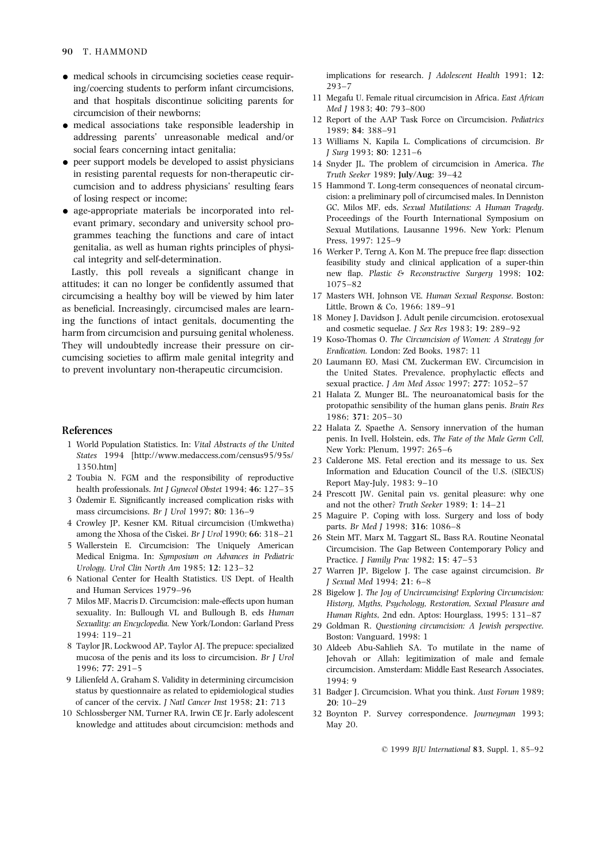- medical schools in circumcising societies cease requir-<br>implications for research. J Adolescent Health 1991; 12:<br> $293-7$ ing/coercing students to perform infant circumcisions,<br>and that bospitals discontinue soliciting parents for  $11$  Megafu U. Female ritual circumcision in Africa. East African and that hospitals discontinue soliciting parents for  $\frac{11 \text{ Megatu U. Female ritual circulation in Africa. East African  
directions of their newborns; } 12 \text{ Report of the AAP Task Force on Circumcision. *Pediatrics*$
- medical associations take responsible leadership in  $\frac{12 \text{ Kepot of the AM}}{1989; 84: 388-91}$ social fears concerning intact genitalia;  $J_{Sura} = 1993; 80: 1231-6$
- $\bullet$  peer support models be developed to assist physicians  $14$  Snyder JL. The problem of circumcision in America. The in resisting parental requests for non-therapeutic cir- Truth Seeker 1989; July/Aug: 39–42 cumcision and to address physicians' resulting fears 15 Hammond T. Long-term consequences of neonatal circum-
- age-appropriate materials be incorporated into rel-<br>evant primary, secondary and university school pro-<br>grammes teaching the functions and care of intact<br>genitalia, as well as human rights principles of physi-<br>recs, 1997

attitudes; it can no longer be confidently assumed that 1075–82 circumcising a healthy boy will be viewed by him later 17 Masters WH, Johnson VE. Human Sexual Response. Boston: as beneficial. Increasingly, circumcised males are learn-<br>ing the functions of intact genitals, documenting the 18 Money J, Davidson J. Adult penile circumcision, erotosexual ing the functions of intact genitals, documenting the and cosmetic sequelae. J Sex Res 1983; 19: 289–92<br>harm from circumcision and pursuing genital wholeness.<br>They will undoubtedly increase their pressure on cir-<br>cumcising

- 1 World Population Statistics. In: *Vital Abstracts of the United* States 1994 [http://www.medaccess.com/census95/95s/<br>1350.htm]<br>2 Toubia N. FGM and the responsibility of reproductive health professionals. Int J Gynecol O
- 
- 
- 
- among the Anosa of the Ciskel. *Br* J *Crol* 1990; **00**: 518–21<br>
26 Stein MT, Marx M, Taggart SL, Bass RA. Routine Neonatal<br>
3 Wallerstein E. Circumcision: The Uniquely American<br>
Medical Enigma. In: Symposium on Advances i
- 6 National Center for Health Statistics. US Dept. of Health J Sexual Med 1994; 21: 6–8<br>and Human Services 1979–96 28 Bigelow J The Jou of Uncircu
- sexuality. In: Bullough VL and Bullough B, eds Human Human Rights, 2nd edn. Aptos: Hourglass, 1995: 131–87<br>Sexuality: an Encyclopedia. New York/London: Garland Press 29 Goldman R. Questioning circumcision: A Lewish perspec Sexuality: an Encyclopedia. New York/London: Garland Press 29 Goldman R. Questioning circumcision: A Jewish perspective.
- 8 Taylor JR, Lockwood AP, Taylor AJ. The prepuce: specialized 30 Aldeeb Abu-Sahlieh SA. To mutilate in the name of mucosa of the penis and its loss to circumcision. Br *I Urol* and the name of male and female
- 9 Lilienfeld A, Graham S. Validity in determining circumcision 1994: 9 status by questionnaire as related to epidemiological studies 31 Badger J. Circumcision. What you think. Aust Forum 1989; of cancer of the cervix. J Natl Cancer Inst 1958; 21: 713 20: 10–29
- 10 Schlossberger NM, Turner RA, Irwin CE Jr. Early adolescent 32 Boynton P. Survey correspondence. Journeyman 1993; knowledge and attitudes about circumcision: methods and May 20.

- 
- 
- 13 Williams N, Kapila L. Complications of circumcision. Br
- 
- of losing respect or income;<br>
age-appropriate materials be incorporated into rel-<br>
CC, Milos MF, eds, Sexual Mutilations: A Human Tragedy.
- cal integrity and self-determination.<br>
Lastly, this poll reveals a significant change in the mew flap. Plastic & Reconstructive Surgery 1998; 102:
	-
	-
	-
- to prevent involuntary non-therapeutic circumcision.<br>The United States. Prevalence, prophylactic effects and the United States. Prevalence, prophylactic effects and sexual practice. J Am Med Assoc 1997; 277: 1052–57
	- 21 Halata Z, Munger BL. The neuroanatomical basis for the protopathic sensibility of the human glans penis. Brain Res 1986; 371: 205–30
- References 22 Halata Z, Spaethe A. Sensory innervation of the human<br>penis. In Ivell, Holstein, eds, The Fate of the Male Germ Cell,
	-
	-
- mass circumcisions. Br J Urol 1997; 80: 136–9<br>
4 Crowley JP, Kesner KM. Ritual circumcision (Umkwetha)<br>
25 Maguire P. Coping with loss. Surgery and loss of body<br>
25 Maguire P. Coping with loss. Surgery and loss of body<br>
26
	-
	- 27 Warren JP, Bigelow J. The case against circumcision. Br
- and Human Services 1979–96<br>7 Milos MF, Macris D. Circumcision: male-effects upon human<br>1990 History Muths Psychology Restoration Sexual Pleasure and History, Myths, Psychology, Restoration, Sexual Pleasure and
	- Boston: Vanguard, 1998: 1
	- Jehovah or Allah: legitimization of male and female 1996; 77: 291–5 circumcision. Amsterdam: Middle East Research Associates,
		-
		-

© 1999 BJU International 83, Suppl. 1, 85–92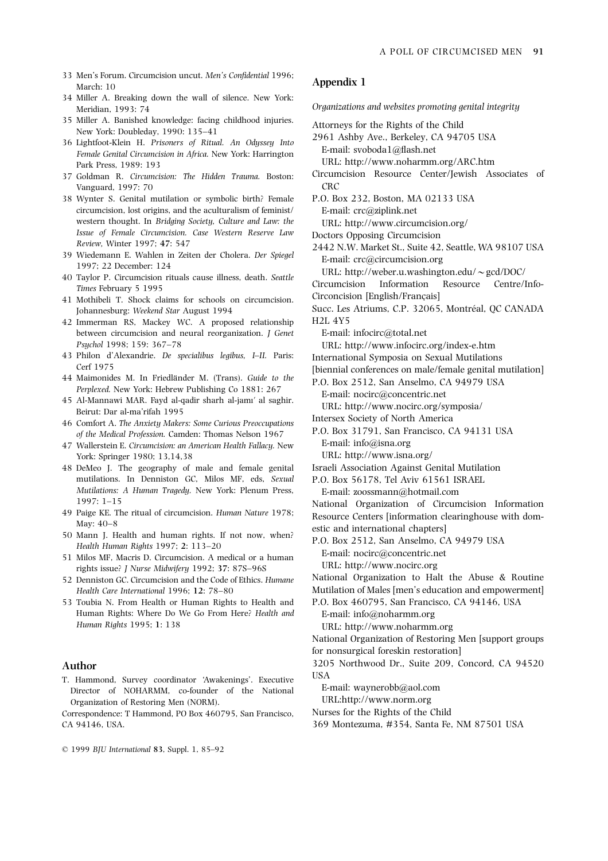- 33 Men's Forum. Circumcision uncut. Men's Confidential 1996;<br>March: 10 **Appendix 1**
- 34 Miller A. Breaking down the wall of silence. New York: Meridian, 1993: 74 Organizations and websites promoting genital integrity
- 35 Miller A. Banished knowledge: facing childhood injuries.<br>
New York: Doubleday, 1990: 135–41<br>
36 Lightfoot-Klein H. Prisoners of Ritual. An Odyssey Into 2961 Ashby Ave., Berkeley, CA 94705 USA<br>
Female Genital Circumcisi
- Park Press, 1989: 193<br>
Park Press, 1989: 193<br>
Goldman R. Circumcision: The Hidden Trauma Boston: Circumcision Resource Center/Jewish Associates of
- 37 Goldman R. Circumcision: The Hidden Trauma. Boston: Vanguard, 1997: 70 CRC
- 38 Wynter S. Genital mutilation or symbolic birth? Female P.O. Box 232, Boston, MA 02133 USA circumcision, lost origins, and the aculturalism of feminist/ E-mail: crc@ziplink.net western thought. In Bridging Society, Culture and Law: the URL: http://www.circumcision.org/ Issue of Female Circumcision. Case Western Reserve Law Doctors Opposing Circumcision
- 
- Times February 5 1995<br>41 Mothibeli T. Shock claims for schools on circumcision. Circoncision [English/Français]
- Johannesburg: Weekend Star August 1994 Succ. Les Atriums, C.P. 32065, Montréal, QC CANADA
- 42 Immerman RS, Mackey WC. A proposed relationship H2L 4Y5 between circumcision and neural reorganization. *J Genet* E-mail: infocirc@total.net Psychol 1998; 159: 367–78 URL: http://www.infocirc.org/index-e.htm
- 43 Philon d'Alexandrie. De specialibus legibus, I–II. Paris: International Symposia on Sexual Mutilations
- 
- 44 Maimonides M. In Friedlander M. (Trans). Guide to the<br>
P.O. Box 2512, San Anselmo, CA 94979 USA<br>
Perplexed. New York: Hebrew Publishing Co 1881: 267<br>
45 Al-Mannawi MAR. Fayd al-qadir sharh al-jami' al saghir.<br>
Beirut: D
- 46 Comfort A. The Anxiety Makers: Some Curious Preoccupations
- 47 Wallerstein E. Circumcision: an American Health Fallacy. New York: Springer 1980; 13,14,38 URL: http://www.isna.org/
- 48 DeMeo J. The geography of male and female genital Israeli Association Against Genital Mutilation mutilations. In Denniston GC, Milos MF, eds, Sexual P.O. Box 56178, Tel Aviv 61561 ISRAEL Mutilations: A Human Tragedy. New York: Plenum Press, E-mail: zoossmann@hotmail.com
- 
- Frage KE. The Fittian of circumcision. Human Nature 1978;<br>
May: 40–8<br>
Health and human rights. If not now, when?<br>
Health Human Rights 1997; 2: 113–20<br>
Frail: nocirc@concentric.net<br>
E-mail: nocirc@concentric.net
- 51 Milos MF, Macris D. Circumcision. A medical or a human<br>rights issued J Nurse Midwifery 1992;  $37, 875,965$  URL: http://www.nocirc.org rights issue? J Nurse Midwifery 1992; 37: 87S–96S
- Health Care International 1996; 12: 78–80 Mutilation of Males [men's education and empowerment]
- 53 Toubia N. From Health or Human Rights to Health and P.O. Box 460795, San Francisco, CA 94146, USA Human Rights: Where Do We Go From Here? Health and E-mail: info@noharmm.org Human Rights 1995; 1: 138 URL: http://www.noharmm.org

T. Hammond, Survey coordinator 'Awakenings'. Executive USA<br>Director of NOHARMM co-founder of the National E-mail: waynerobb@aol.com Director of NOHARMM, co-founder of the National E-mail: waynerobb@aol.com<br>Creanization of Bestoring Men (NORM) URL:http://www.norm.org Organization of Restoring Men (NORM).

Correspondence: T Hammond, PO Box 460795, San Francisco, Nurses for the Rights of the Child CA 94146, USA. 369 Montezuma, #354, Santa Fe, NM 87501 USA

© 1999 BJU International 83, Suppl. 1, 85–92

- 
- 
- 
- Review, Winter 1997; 47: 547<br>
39 Wiedemann E. Wahlen in Zeiten der Cholera. *Der Spiegel*<br>
1997; 22 December: 124<br>
40 Taylor P. Circumcision rituals cause illness, death. *Seattle*<br>
<sup>1997; 22 December: 124<br>
40 Taylor P. Ci</sup>

- 
- 

- 
- Cerf 1975<br>
General experiment of the terminal conferences on male/female genital mutilation<br>
CA 949.79 IISA

of the Medical Profession. Camden: Thomas Nelson 1967 P.O. Box 31791, San Francisco, CA 94131 USA<br>Wallerstein F. Circumcision: an American Health Fallacu. New E-mail: info@isna.org

- 
- 
- 

1997: 1–15<br>49 Paige KE. The ritual of circumcision. Human Nature 1978: Recourse Contagn Information eleccinghouse with dom

- 52 Denniston GC. Circumcision and the Code of Ethics. Humane National Organization to Halt the Abuse & Routine
	-

National Organization of Restoring Men [support groups for nonsurgical foreskin restoration]

Author 3205 Northwood Dr., Suite 209, Concord, CA 94520